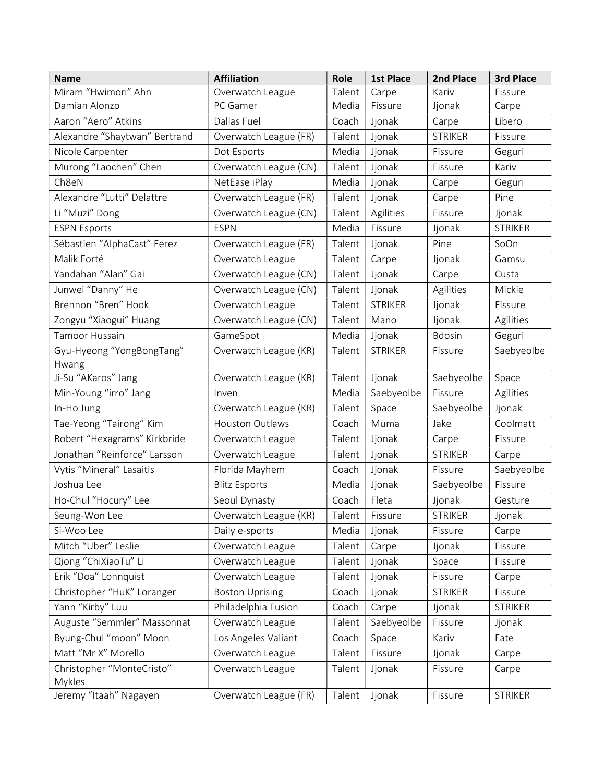| <b>Name</b>                   | <b>Affiliation</b>     | Role   | <b>1st Place</b> | 2nd Place      | 3rd Place      |
|-------------------------------|------------------------|--------|------------------|----------------|----------------|
| Miram "Hwimori" Ahn           | Overwatch League       | Talent | Carpe            | Kariv          | Fissure        |
| Damian Alonzo                 | PC Gamer               | Media  | Fissure          | Jjonak         | Carpe          |
| Aaron "Aero" Atkins           | Dallas Fuel            | Coach  | Jjonak           | Carpe          | Libero         |
| Alexandre "Shaytwan" Bertrand | Overwatch League (FR)  | Talent | Jjonak           | <b>STRIKER</b> | Fissure        |
| Nicole Carpenter              | Dot Esports            | Media  | Jjonak           | Fissure        | Geguri         |
| Murong "Laochen" Chen         | Overwatch League (CN)  | Talent | Jjonak           | Fissure        | Kariv          |
| Ch8eN                         | NetEase iPlay          | Media  | Jjonak           | Carpe          | Geguri         |
| Alexandre "Lutti" Delattre    | Overwatch League (FR)  | Talent | Jjonak           | Carpe          | Pine           |
| Li "Muzi" Dong                | Overwatch League (CN)  | Talent | Agilities        | Fissure        | Jjonak         |
| <b>ESPN Esports</b>           | <b>ESPN</b>            | Media  | Fissure          | Jjonak         | <b>STRIKER</b> |
| Sébastien "AlphaCast" Ferez   | Overwatch League (FR)  | Talent | Jjonak           | Pine           | SoOn           |
| Malik Forté                   | Overwatch League       | Talent | Carpe            | Jjonak         | Gamsu          |
| Yandahan "Alan" Gai           | Overwatch League (CN)  | Talent | Jjonak           | Carpe          | Custa          |
| Junwei "Danny" He             | Overwatch League (CN)  | Talent | Jjonak           | Agilities      | Mickie         |
| Brennon "Bren" Hook           | Overwatch League       | Talent | <b>STRIKER</b>   | Jjonak         | Fissure        |
| Zongyu "Xiaogui" Huang        | Overwatch League (CN)  | Talent | Mano             | Jjonak         | Agilities      |
| <b>Tamoor Hussain</b>         | GameSpot               | Media  | Jjonak           | <b>Bdosin</b>  | Geguri         |
| Gyu-Hyeong "YongBongTang"     | Overwatch League (KR)  | Talent | <b>STRIKER</b>   | Fissure        | Saebyeolbe     |
| Hwang                         |                        |        |                  |                |                |
| Ji-Su "AKaros" Jang           | Overwatch League (KR)  | Talent | Jjonak           | Saebyeolbe     | Space          |
| Min-Young "irro" Jang         | Inven                  | Media  | Saebyeolbe       | Fissure        | Agilities      |
| In-Ho Jung                    | Overwatch League (KR)  | Talent | Space            | Saebyeolbe     | Jjonak         |
| Tae-Yeong "Tairong" Kim       | Houston Outlaws        | Coach  | Muma             | Jake           | Coolmatt       |
| Robert "Hexagrams" Kirkbride  | Overwatch League       | Talent | Jjonak           | Carpe          | Fissure        |
| Jonathan "Reinforce" Larsson  | Overwatch League       | Talent | Jjonak           | <b>STRIKER</b> | Carpe          |
| Vytis "Mineral" Lasaitis      | Florida Mayhem         | Coach  | Jjonak           | Fissure        | Saebyeolbe     |
| Joshua Lee                    | <b>Blitz Esports</b>   | Media  | Jjonak           | Saebyeolbe     | Fissure        |
| Ho-Chul "Hocury" Lee          | Seoul Dynasty          | Coach  | Fleta            | Jjonak         | Gesture        |
| Seung-Won Lee                 | Overwatch League (KR)  | Talent | Fissure          | <b>STRIKER</b> | Jjonak         |
| Si-Woo Lee                    | Daily e-sports         | Media  | Jjonak           | Fissure        | Carpe          |
| Mitch "Uber" Leslie           | Overwatch League       | Talent | Carpe            | Jjonak         | Fissure        |
| Qiong "ChiXiaoTu" Li          | Overwatch League       | Talent | Jjonak           | Space          | Fissure        |
| Erik "Doa" Lonnquist          | Overwatch League       | Talent | Jjonak           | Fissure        | Carpe          |
| Christopher "HuK" Loranger    | <b>Boston Uprising</b> | Coach  | Jjonak           | <b>STRIKER</b> | Fissure        |
| Yann "Kirby" Luu              | Philadelphia Fusion    | Coach  | Carpe            | Jjonak         | <b>STRIKER</b> |
| Auguste "Semmler" Massonnat   | Overwatch League       | Talent | Saebyeolbe       | Fissure        | Jjonak         |
| Byung-Chul "moon" Moon        | Los Angeles Valiant    | Coach  | Space            | Kariv          | Fate           |
| Matt "Mr X" Morello           | Overwatch League       | Talent | Fissure          | Jjonak         | Carpe          |
| Christopher "MonteCristo"     | Overwatch League       | Talent | Jjonak           | Fissure        | Carpe          |
| Mykles                        |                        |        |                  |                |                |
| Jeremy "Itaah" Nagayen        | Overwatch League (FR)  | Talent | Jjonak           | Fissure        | <b>STRIKER</b> |